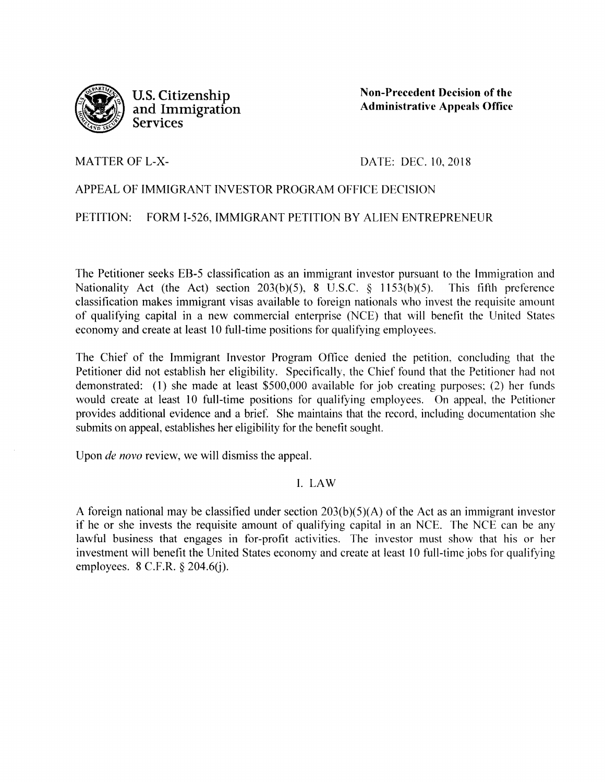

**U.S. Citizenship and Immigration Services** 

**Non-Precedent Decision of the Administrative Appeals Office** 

### MATTER OF L-X-

DATE: DEC. 10, 2018

## APPEAL OF IMMIGRANT INVESTOR PROGRAM OFFICE DECISION

PETITION: FORM I-526, IMMIGRANT PETITION BY ALIEN ENTREPRENEUR

The Petitioner seeks EB-5 classification as an immigrant investor pursuant to the Immigration and Nationality Act (the Act) section 203(b)(5), 8 U.S.C. § 1153(b)(5). This fifth preference classification makes immigrant visas available to foreign nationals who invest the requisite amount of qualifying capital in a new commercial enterprise (NCE) that will benefit the United States economy and create at least 10 full-time positions for qualifying employees.

The Chief of the Immigrant Investor Program Office denied the petition, concluding that the Petitioner did not establish her eligibility. Specifically, the Chief found that the Petitioner had not demonstrated: **(1)** she made at least \$500,000 available for job creating purposes: (2) her funds would create at least 10 full-time positions for qualifying employees. On appeal, the Petitioner provides additional evidence and a brief. She maintains that the record, including documentation she submits on appeal, establishes her eligibility for the benefit sought.

Upon *de nova* review, we will dismiss the appeal.

# I. LAW

A foreign national may be classified under section  $203(b)(5)(A)$  of the Act as an immigrant investor if he or she invests the requisite amount of qualifying capital in an NCE. The NCE can be any lawful business that engages in for-profit activities. The investor must show that his or her investment will benefit the United States economy and create at least 10 full-time jobs for qualifying employees. 8 C.F.R. § 204.6(i).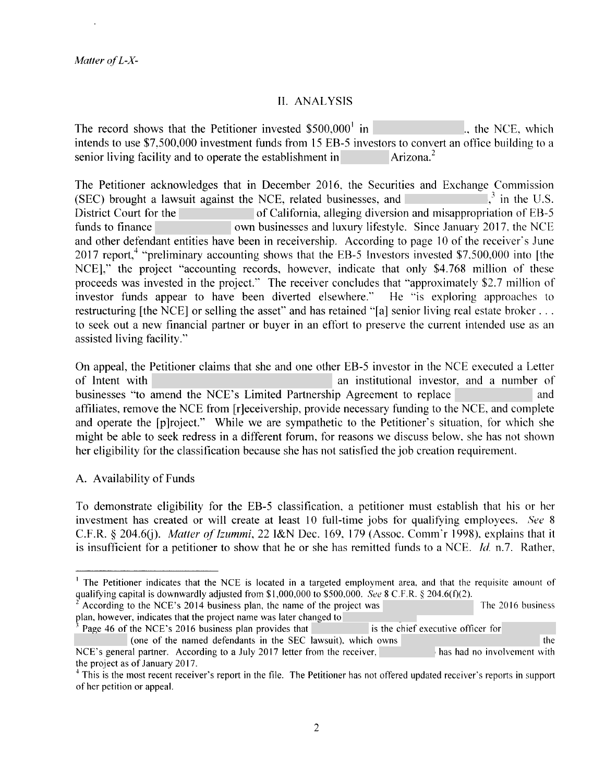.

#### II. ANALYSIS

The record shows that the Petitioner invested  $$500,000'$  in ..., the NCE, which intends to use \$7,500,000 investment funds from 15 EB-5 investors to convert an office building to a senior living facility and to operate the establishment in  $Arizona<sup>2</sup>$ 

The Petitioner acknowledges that in December 2016, the Securities and Exchange Commission (SEC) brought a lawsuit against the NCE, related businesses, and  $\frac{3}{2}$  in the U.S. (SEC) brought a lawsuit against the NCE, related businesses, and  $\frac{1}{2}$ , in the U.S. District Court for the  $\frac{1}{2}$  of California, alleging diversion and misappropriation of EB-5 funds to finance own businesses and luxury lifestyle. Since January 2017, the NCE and other defendant entities have been in receivership. According to page 10 of the receiver's June 2017 report,<sup>4</sup> "preliminary accounting shows that the EB-5 Investors invested \$7,500,000 into [the NCE]," the project "accounting records, however, indicate that only \$4.768 million of these proceeds was invested in the project." The receiver concludes that "approximately \$2.7 million of investor funds appear to have been diverted elsewhere.'' He "is exploring approaches to restructuring [the NCE] or selling the asset" and has retained "[a] senior living real estate broker ... to seek out a new financial partner or buyer in an effort to preserve the current intended use as an assisted living facility."

On appeal, the Petitioner claims that she and one other EB-5 investor in the NCE executed a Letter of Intent with an institutional investor, and a number of businesses "to amend the NCE's Limited Partnership Agreement to replace and and affiliates, remove the NCE from [r]eceivership, provide necessary funding to the NCE, and complete and operate the [p]roject." While we are sympathetic to the Petitioner's situation, for which she might be able to seek redress in a different forum, for reasons we discuss below. she has not shown her eligibility for the classification because she has not satisfied the job creation requirement.

# A. Availability of Funds

To demonstrate eligibility for the EB-5 classification, a petitioner must establish that his or her investment has created or will create at least 10 full-time jobs for qualifying employees. *See* 8 C.F.R. § 204.6(i). *Matter of lzummi,* 22 l&N Dec. 169, 179 (Assoc. Comm'r 1998), explains that it is insufficient for a petitioner to show that he or she has remitted funds to a NCE. *Id.* n.7. Rather,

(one of the named defendants in the SEC lawsuit), which owns the NCE's general partner. According to a July 2017 letter from the receiver, has had no involvement with the project as of January 2017.

<sup>&</sup>lt;sup>1</sup> The Petitioner indicates that the NCE is located in a targeted employment area, and that the requisite amount of qualifying capital is downwardly adjusted from  $\frac{$1,000,000}{1,000,000}$  to \$500,000. *See* 8 C.F.R. § 204.6(f)(2).

According to the NCE's 2014 business plan, the name of the project was The 2016 business plan, however, indicates that the project name was later changed to 1 Page 46 of the NCE's 2016 business plan provides that in Page 46 of the NCE's 2016 business plan provides that is the chief executive officer for

<sup>&</sup>lt;sup>4</sup> This is the most recent receiver's report in the file. The Petitioner has not offered updated receiver's reports in support of her petition or appeal.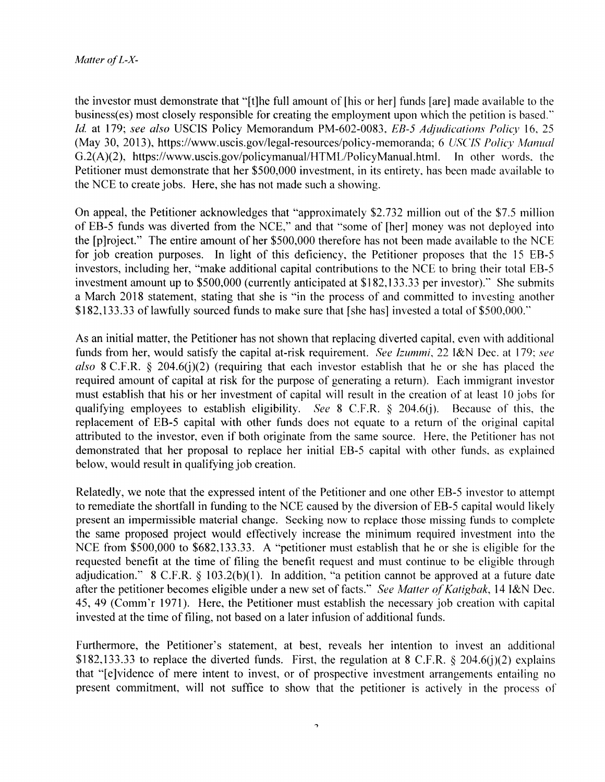the investor must demonstrate that "[t]he full amount of [his or her] funds [are] made available to the business(es) most closely responsible for creating the employment upon which the petition is based." *Id.* at 179; *see also* USCIS Policy Memorandum PM-602-0083, *EB-5 Adjudications Policy* 16, 25 (May 30, 2013), https://www.uscis.gov/legal-resources/policy-memoranda; 6 *USCIS Policy Manual* G.2(A)(2), https://www.uscis.gov/policymanual/HTML/PolicyManual.html. Jn other words. the Petitioner must demonstrate that her \$500,000 investment, in its entirety. has been made available to the NCE to create jobs. Here, she has not made such a showing.

On appeal, the Petitioner acknowledges that "approximately \$2.732 million out of the \$7.5 million of EB-5 funds was diverted from the NCE," and that ·'some of [her] money was not deployed into the [p]roject." The entire amount of her \$500,000 therefore has not been made available to the NCE for job creation purposes. In light of this deficiency. the Petitioner proposes that the 15 EB-5 investors, including her, "make additional capital contributions to the NCE to bring their total EB-5 investment amount up to \$500,000 (currently anticipated at \$182,133.33 per investor)." She submits a March 2018 statement, stating that she is "in the process of and committed to investing another \$182,133.33 of lawfully sourced funds to make sure that [she has] invested a total of \$500,000."

As an initial matter, the Petitioner has not shown that replacing diverted capital, even with additional funds from her, would satisfy the capital at-risk requirement. *See lzummi,* 22 l&N Dec. at 179: *see also* 8 C.F.R. § 204.6(j)(2) (requiring that each investor establish that he or she has placed the required amount of capital at risk for the purpose of generating a return). Each immigrant investor must establish that his or her investment of capital will result in the creation of at least 10 jobs for qualifying employees to establish eligibility. *See* 8 C.F.R. § 204.6(j). Because of this, the replacement of EB-5 capital with other funds does not equate to a return of the original capital attributed to the investor, even if both originate from the same source. Here, the Petitioner has not demonstrated that her proposal to replace her initial EB-5 capital with other funds, as explained below, would result in qualifying job creation.

Relatedly, we note that the expressed intent of the Petitioner and one other EB-5 investor to attempt to remediate the shortfall in funding to the NCE caused by the diversion of EB-5 capital would likely present an impermissible material change. Seeking now to replace those missing funds to complete the same proposed project would effectively increase the minimum required investment into the NCE from \$500,000 to \$682,133.33. A "petitioner must establish that he or she is eligible for the requested benefit at the time of filing the benefit request and must continue to be eligible through adjudication." 8 C.F.R.  $\S$  103.2(b)(1). In addition, "a petition cannot be approved at a future date after the petitioner becomes eligible under a new set of facts.'' *See Matter qf Katigbak,* 14 l&N Dec. 45, 49 (Comm'r 1971). Here, the Petitioner must establish the necessary job creation with capital invested at the time of filing, not based on a later infusion of additional funds.

Furthermore, the Petitioner's statement, at best, reveals her intention to invest an additional \$182,133.33 to replace the diverted funds. First, the regulation at 8 C.F.R.  $\&$  204.6(j)(2) explains that "[e]vidence of mere intent to invest, or of prospective investment arrangements entailing no present commitment, will not suffice to show that the petitioner is actively in the process of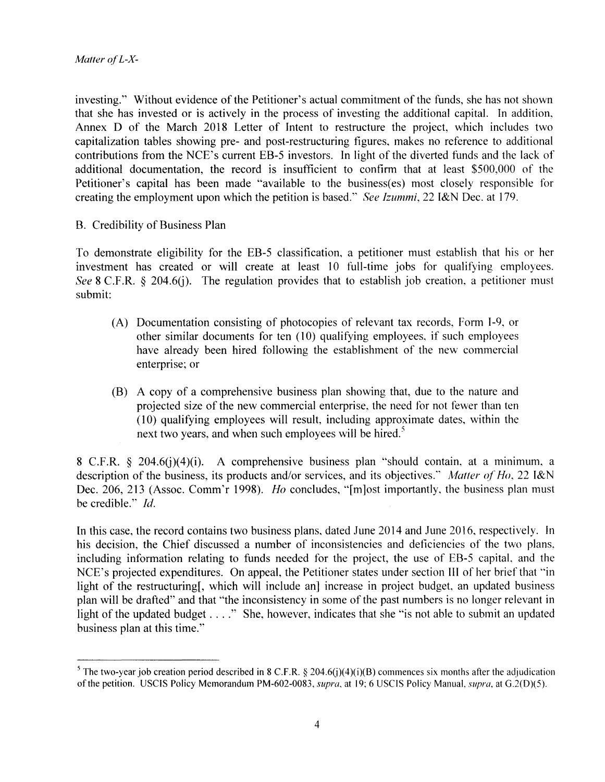investing." Without evidence of the Petitioner's actual commitment of the funds, she has not shown that she has invested or is actively in the process of investing the additional capital. In addition, Annex D of the March 2018 Letter of Intent to restructure the project, which includes two capitalization tables showing pre- and post-restructuring figures, makes no reference to additional contributions from the NCE's current EB-5 investors. In light of the diverted funds and the lack of additional documentation, the record is insufficient to confirm that at least \$500,000 of the Petitioner's capital has been made "available to the business(es) most closely responsible for creating the employment upon which the petition is based." *See Izummi*, 22 I&N Dec. at 179.

B. Credibility of Business Plan

To demonstrate eligibility for the EB-5 classification, a petitioner must establish that his or her investment has created or will create at least IO full-time jobs for qualifying employees. *See* 8 C.F.R. § 204.6(j). The regulation provides that to establish job creation, a petitioner must submit:

- (A) Documentation consisting of photocopies of relevant tax records, Form I-9. or other similar documents for ten (10) qualifying employees, if such employees have already been hired following the establishment of the new commercial enterprise; or
- (B) A copy of a comprehensive business plan showing that, due to the nature and projected size of the new commercial enterprise, the need for not fewer than ten (10) qualifying employees will result, including approximate dates, within the next two years, and when such employees will be hired.<sup>5</sup>

8 C.F.R.  $\S$  204.6(j)(4)(i). A comprehensive business plan "should contain, at a minimum, a description of the business, its products and/or services, and its objectives." *Matter of Ho*, 22 I&N Dec. 206, 213 (Assoc. Comm'r 1998). *Ho* concludes, "[m]ost importantly, the business plan must be credible." *Id.* 

In this case, the record contains two business plans. dated June 2014 and June 2016, respectively. In his decision, the Chief discussed a number of inconsistencies and deficiencies of the two plans, including information relating to funds needed for the project, the use of EB-5 capital, and the NCE's projected expenditures. On appeal, the Petitioner states under section III of her brief that "in light of the restructuring. which will include an] increase in project budget, an updated business plan will be drafted" and that "the inconsistency in some of the past numbers is no longer relevant in light of the updated budget . . . ." She, however, indicates that she "is not able to submit an updated business plan at this time."

<sup>&</sup>lt;sup>5</sup> The two-year job creation period described in 8 C.F.R. § 204.6(j)(4)(j)(B) commences six months after the adjudication of the petition. USCIS Policy Memorandum PM-602-0083, *supra.* at 19; 6 USCIS Policy Manual, *supra,* at G.2(O)(5).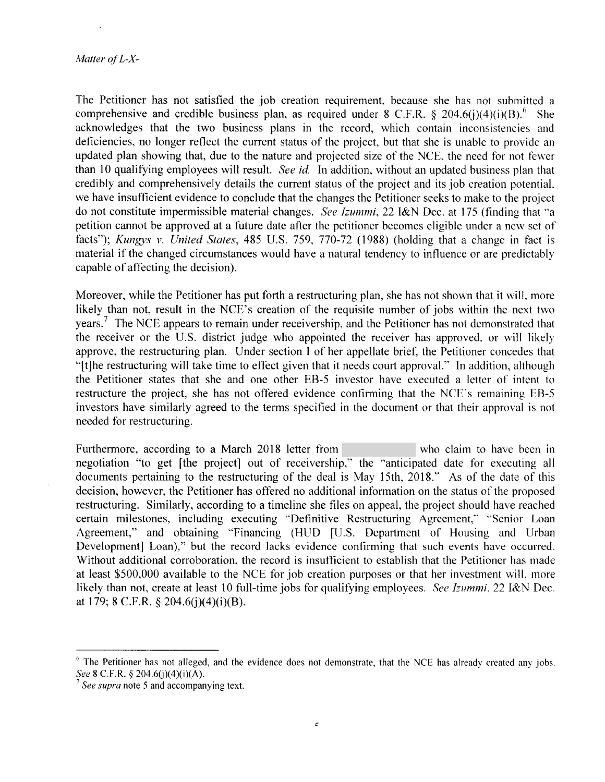.

The Petitioner has not satisfied the job creation requirement, because she has not submitted a comprehensive and credible business plan, as required under 8 C.F.R. § 204.6(j)(4)(j)(B). <sup>6</sup> She acknowledges that the two business plans in the record, which contain inconsistencies and deficiencies, no longer reflect the current status of the project, but that she is unable to provide an updated plan showing that, due to the nature and projected size of the NCE, the need for not fewer than 10 qualifying employees will result. *See id.* In addition, without an updated business plan that credibly and comprehensively details the current status of the project and its job creation potential. we have insufficient evidence to conclude that the changes the Petitioner seeks to make to the project do not constitute impermissible material changes. *See Jzummi,* 22 I&N Dec. at 175 (finding that ·'a petition cannot be approved at a future date after the petitioner becomes eligible under a new set of facts"); *Kungys v. United States,* 485 U.S. 759, 770-72 (1988) (holding that a change in fact is material if the changed circumstances would have a natural tendency to influence or are predictably capable of affecting the decision).

Moreover, while the Petitioner has put forth a restructuring plan, she has not shown that it will, more likely than not, result in the NCE's creation of the requisite number of jobs within the next two years.<sup>7</sup> The NCE appears to remain under receivership, and the Petitioner has not demonstrated that the receiver or the U.S. district judge who appointed the receiver has approved, or will likely approve, the restructuring plan. Under section I of her appellate brief, the Petitioner concedes that "[t]he restructuring will take time to effect given that it needs court approval." In addition, although the Petitioner states that she and one other EB-5 investor have executed a letter of intent to restructure the project, she has not offered evidence confirming that the NCE's remaining EB-5 investors have similarly agreed to the terms specified in the document or that their approval is not needed for restructuring.

Furthermore, according to a March 2018 letter from who claim to have been in negotiation "to get [the project] out of receivership," the "anticipated date for executing all documents pertaining to the restructuring of the deal is May 15th, 2018.'' As of the date of this decision, however, the Petitioner has offered no additional information on the status of the proposed restructuring. Similarly, according to a timeline she files on appeal, the project should have reached certain milestones, including executing "Definitive Restructuring Agreement,'' "'Senior Loan Agreement," and obtaining "Financing (HUD [U.S. Department of Housing and Urban Development] Loan)," but the record lacks evidence confirming that such events have occurred. Without additional corroboration, the record is insufficient to establish that the Petitioner has made at least \$500,000 available to the NCE for job creation purposes or that her investment will, more likely than not, create at least 10 full-time jobs for qualifying employees. *See lzummi,* 22 I&N Dec. at 179; 8 C.F.R. § 204.6(i)(4)(i)(B).

<sup>&</sup>lt;sup>6</sup> The Petitioner has not alleged, and the evidence does not demonstrate, that the NCE has already created any jobs. *See* 8 C.F.R. § 204.6(j)(4)(i)(A).

<sup>&</sup>lt;sup>7</sup> See supra note 5 and accompanying text.